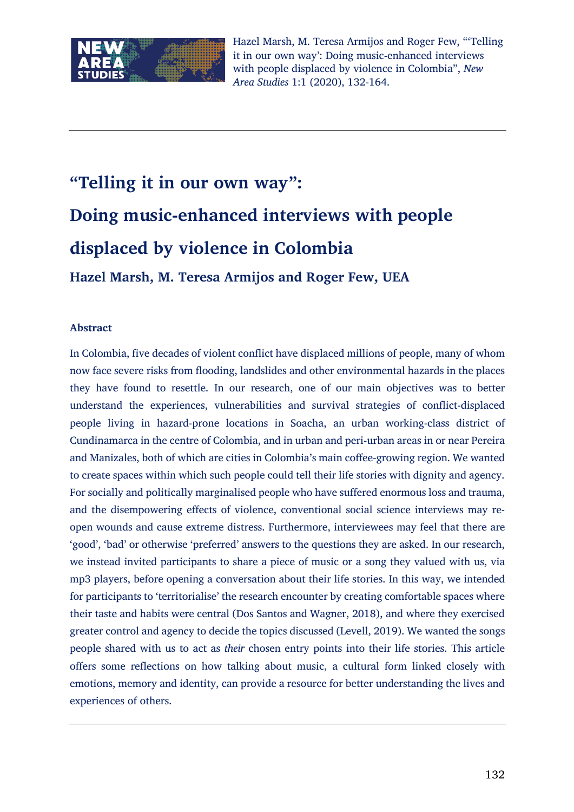

# **"Telling it in our own way": Doing music-enhanced interviews with people displaced by violence in Colombia Hazel Marsh, M. Teresa Armijos and Roger Few, UEA**

#### **Abstract**

In Colombia, five decades of violent conflict have displaced millions of people, many of whom now face severe risks from flooding, landslides and other environmental hazards in the places they have found to resettle. In our research, one of our main objectives was to better understand the experiences, vulnerabilities and survival strategies of conflict-displaced people living in hazard-prone locations in Soacha, an urban working-class district of Cundinamarca in the centre of Colombia, and in urban and peri-urban areas in or near Pereira and Manizales, both of which are cities in Colombia's main coffee-growing region. We wanted to create spaces within which such people could tell their life stories with dignity and agency. For socially and politically marginalised people who have suffered enormous loss and trauma, and the disempowering effects of violence, conventional social science interviews may reopen wounds and cause extreme distress. Furthermore, interviewees may feel that there are 'good', 'bad' or otherwise 'preferred' answers to the questions they are asked. In our research, we instead invited participants to share a piece of music or a song they valued with us, via mp3 players, before opening a conversation about their life stories. In this way, we intended for participants to 'territorialise' the research encounter by creating comfortable spaces where their taste and habits were central (Dos Santos and Wagner, 2018), and where they exercised greater control and agency to decide the topics discussed (Levell, 2019). We wanted the songs people shared with us to act as *their* chosen entry points into their life stories. This article offers some reflections on how talking about music, a cultural form linked closely with emotions, memory and identity, can provide a resource for better understanding the lives and experiences of others.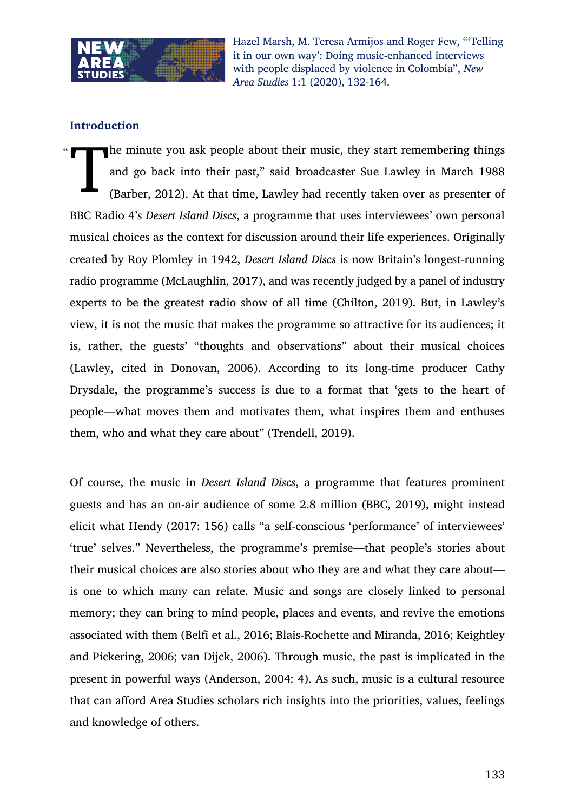

## **Introduction**

 $\ddot{\phantom{0}}$ The minute you ask people about their music, they start remembering things and go back into their past," said broadcaster Sue Lawley in March 1988 (Barber, 2012). At that time, Lawley had recently taken over as presenter of BBC Radio 4's *Desert Island Discs*, a programme that uses interviewees' own personal musical choices as the context for discussion around their life experiences. Originally created by Roy Plomley in 1942, *Desert Island Discs* is now Britain's longest-running radio programme (McLaughlin, 2017), and was recently judged by a panel of industry experts to be the greatest radio show of all time (Chilton, 2019). But, in Lawley's view, it is not the music that makes the programme so attractive for its audiences; it is, rather, the guests' "thoughts and observations" about their musical choices (Lawley, cited in Donovan, 2006). According to its long-time producer Cathy Drysdale, the programme's success is due to a format that 'gets to the heart of people—what moves them and motivates them, what inspires them and enthuses them, who and what they care about" (Trendell, 2019). T

Of course, the music in *Desert Island Discs*, a programme that features prominent guests and has an on-air audience of some 2.8 million (BBC, 2019), might instead elicit what Hendy (2017: 156) calls "a self-conscious 'performance' of interviewees' 'true' selves." Nevertheless, the programme's premise—that people's stories about their musical choices are also stories about who they are and what they care about is one to which many can relate. Music and songs are closely linked to personal memory; they can bring to mind people, places and events, and revive the emotions associated with them (Belfi et al., 2016; Blais-Rochette and Miranda, 2016; Keightley and Pickering, 2006; van Dijck, 2006). Through music, the past is implicated in the present in powerful ways (Anderson, 2004: 4). As such, music is a cultural resource that can afford Area Studies scholars rich insights into the priorities, values, feelings and knowledge of others.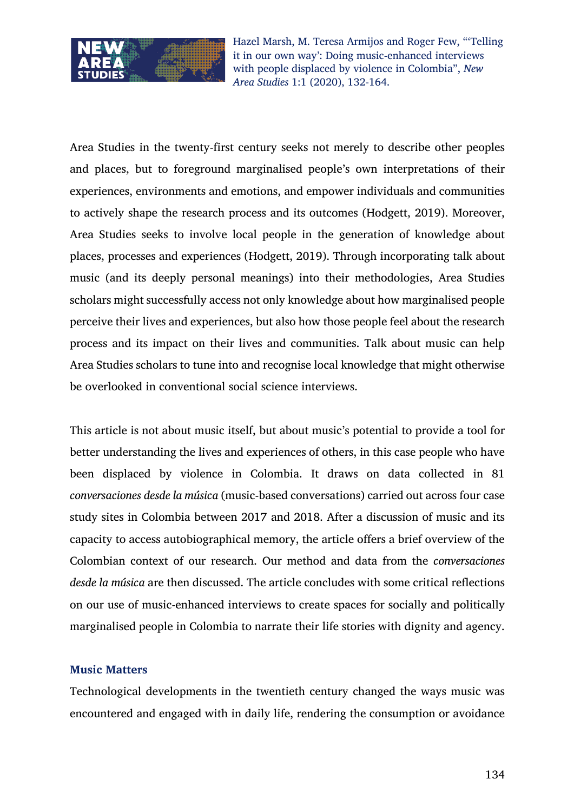

Area Studies in the twenty-first century seeks not merely to describe other peoples and places, but to foreground marginalised people's own interpretations of their experiences, environments and emotions, and empower individuals and communities to actively shape the research process and its outcomes (Hodgett, 2019). Moreover, Area Studies seeks to involve local people in the generation of knowledge about places, processes and experiences (Hodgett, 2019). Through incorporating talk about music (and its deeply personal meanings) into their methodologies, Area Studies scholars might successfully access not only knowledge about how marginalised people perceive their lives and experiences, but also how those people feel about the research process and its impact on their lives and communities. Talk about music can help Area Studies scholars to tune into and recognise local knowledge that might otherwise be overlooked in conventional social science interviews.

This article is not about music itself, but about music's potential to provide a tool for better understanding the lives and experiences of others, in this case people who have been displaced by violence in Colombia. It draws on data collected in 81 *conversaciones desde la música* (music-based conversations) carried out across four case study sites in Colombia between 2017 and 2018. After a discussion of music and its capacity to access autobiographical memory, the article offers a brief overview of the Colombian context of our research. Our method and data from the *conversaciones desde la música* are then discussed. The article concludes with some critical reflections on our use of music-enhanced interviews to create spaces for socially and politically marginalised people in Colombia to narrate their life stories with dignity and agency.

#### **Music Matters**

Technological developments in the twentieth century changed the ways music was encountered and engaged with in daily life, rendering the consumption or avoidance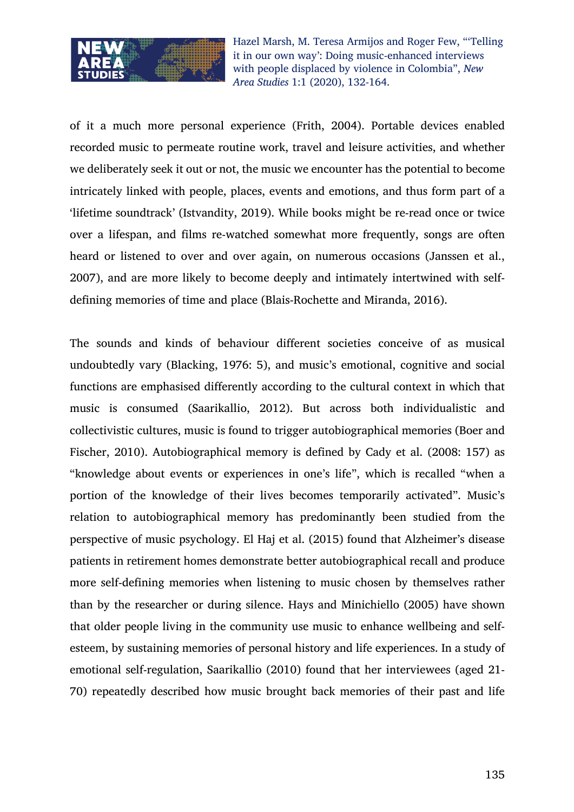

of it a much more personal experience (Frith, 2004). Portable devices enabled recorded music to permeate routine work, travel and leisure activities, and whether we deliberately seek it out or not, the music we encounter has the potential to become intricately linked with people, places, events and emotions, and thus form part of a 'lifetime soundtrack' (Istvandity, 2019). While books might be re-read once or twice over a lifespan, and films re-watched somewhat more frequently, songs are often heard or listened to over and over again, on numerous occasions (Janssen et al., 2007), and are more likely to become deeply and intimately intertwined with selfdefining memories of time and place (Blais-Rochette and Miranda, 2016).

The sounds and kinds of behaviour different societies conceive of as musical undoubtedly vary (Blacking, 1976: 5), and music's emotional, cognitive and social functions are emphasised differently according to the cultural context in which that music is consumed (Saarikallio, 2012). But across both individualistic and collectivistic cultures, music is found to trigger autobiographical memories (Boer and Fischer, 2010). Autobiographical memory is defined by Cady et al. (2008: 157) as "knowledge about events or experiences in one's life", which is recalled "when a portion of the knowledge of their lives becomes temporarily activated". Music's relation to autobiographical memory has predominantly been studied from the perspective of music psychology. El Haj et al. (2015) found that Alzheimer's disease patients in retirement homes demonstrate better autobiographical recall and produce more self-defining memories when listening to music chosen by themselves rather than by the researcher or during silence. Hays and Minichiello (2005) have shown that older people living in the community use music to enhance wellbeing and selfesteem, by sustaining memories of personal history and life experiences. In a study of emotional self-regulation, Saarikallio (2010) found that her interviewees (aged 21- 70) repeatedly described how music brought back memories of their past and life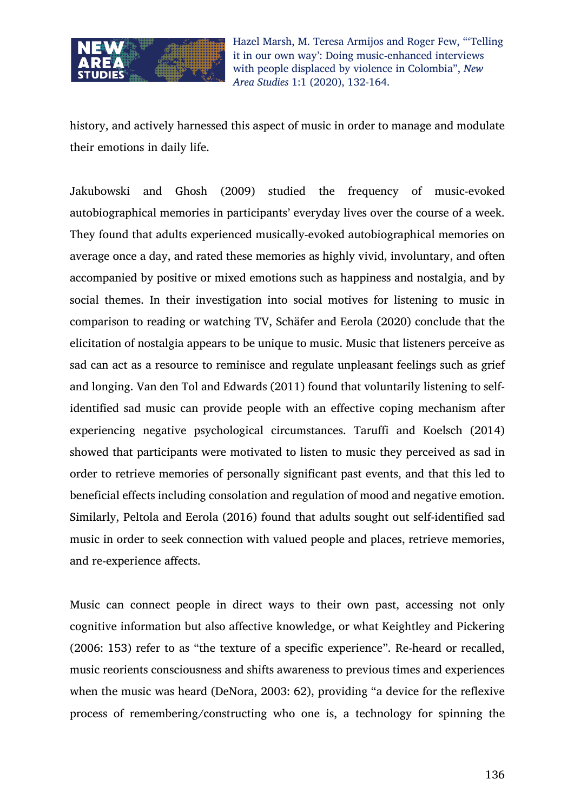

history, and actively harnessed this aspect of music in order to manage and modulate their emotions in daily life.

Jakubowski and Ghosh (2009) studied the frequency of music-evoked autobiographical memories in participants' everyday lives over the course of a week. They found that adults experienced musically-evoked autobiographical memories on average once a day, and rated these memories as highly vivid, involuntary, and often accompanied by positive or mixed emotions such as happiness and nostalgia, and by social themes. In their investigation into social motives for listening to music in comparison to reading or watching TV, Schäfer and Eerola (2020) conclude that the elicitation of nostalgia appears to be unique to music. Music that listeners perceive as sad can act as a resource to reminisce and regulate unpleasant feelings such as grief and longing. Van den Tol and Edwards (2011) found that voluntarily listening to selfidentified sad music can provide people with an effective coping mechanism after experiencing negative psychological circumstances. Taruffi and Koelsch (2014) showed that participants were motivated to listen to music they perceived as sad in order to retrieve memories of personally significant past events, and that this led to beneficial effects including consolation and regulation of mood and negative emotion. Similarly, Peltola and Eerola (2016) found that adults sought out self-identified sad music in order to seek connection with valued people and places, retrieve memories, and re-experience affects.

Music can connect people in direct ways to their own past, accessing not only cognitive information but also affective knowledge, or what Keightley and Pickering (2006: 153) refer to as "the texture of a specific experience". Re-heard or recalled, music reorients consciousness and shifts awareness to previous times and experiences when the music was heard (DeNora, 2003: 62), providing "a device for the reflexive process of remembering/constructing who one is, a technology for spinning the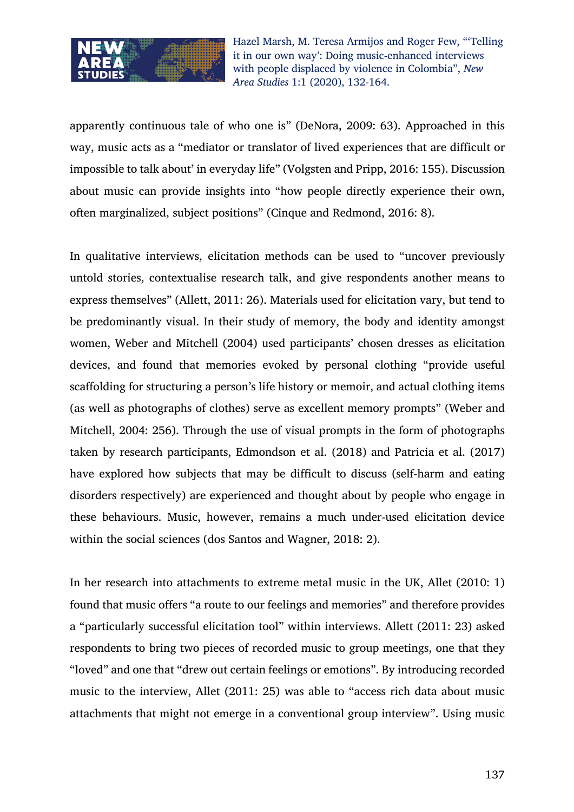

apparently continuous tale of who one is" (DeNora, 2009: 63). Approached in this way, music acts as a "mediator or translator of lived experiences that are difficult or impossible to talk about' in everyday life" (Volgsten and Pripp, 2016: 155). Discussion about music can provide insights into "how people directly experience their own, often marginalized, subject positions" (Cinque and Redmond, 2016: 8).

In qualitative interviews, elicitation methods can be used to "uncover previously untold stories, contextualise research talk, and give respondents another means to express themselves" (Allett, 2011: 26). Materials used for elicitation vary, but tend to be predominantly visual. In their study of memory, the body and identity amongst women, Weber and Mitchell (2004) used participants' chosen dresses as elicitation devices, and found that memories evoked by personal clothing "provide useful scaffolding for structuring a person's life history or memoir, and actual clothing items (as well as photographs of clothes) serve as excellent memory prompts" (Weber and Mitchell, 2004: 256). Through the use of visual prompts in the form of photographs taken by research participants, Edmondson et al. (2018) and Patricia et al. (2017) have explored how subjects that may be difficult to discuss (self-harm and eating disorders respectively) are experienced and thought about by people who engage in these behaviours. Music, however, remains a much under-used elicitation device within the social sciences (dos Santos and Wagner, 2018: 2).

In her research into attachments to extreme metal music in the UK, Allet (2010: 1) found that music offers "a route to our feelings and memories" and therefore provides a "particularly successful elicitation tool" within interviews. Allett (2011: 23) asked respondents to bring two pieces of recorded music to group meetings, one that they "loved" and one that "drew out certain feelings or emotions". By introducing recorded music to the interview, Allet (2011: 25) was able to "access rich data about music attachments that might not emerge in a conventional group interview". Using music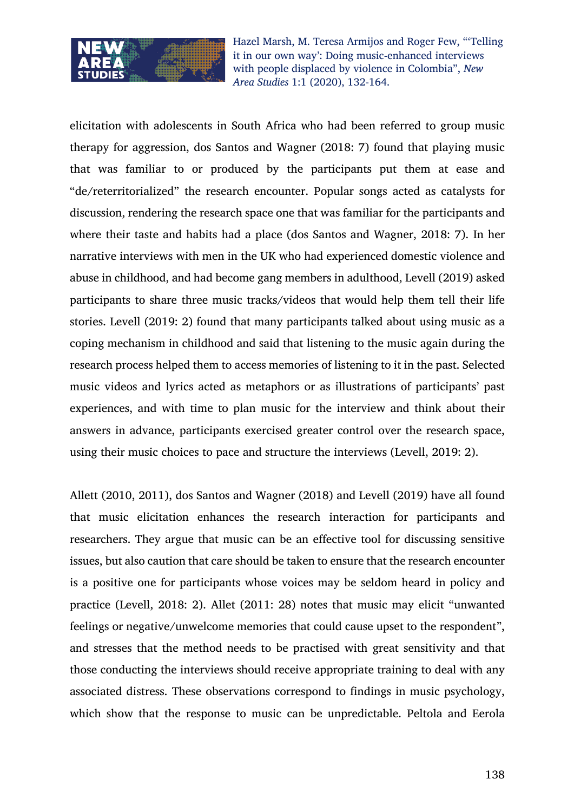

elicitation with adolescents in South Africa who had been referred to group music therapy for aggression, dos Santos and Wagner (2018: 7) found that playing music that was familiar to or produced by the participants put them at ease and "de/reterritorialized" the research encounter. Popular songs acted as catalysts for discussion, rendering the research space one that was familiar for the participants and where their taste and habits had a place (dos Santos and Wagner, 2018: 7). In her narrative interviews with men in the UK who had experienced domestic violence and abuse in childhood, and had become gang members in adulthood, Levell (2019) asked participants to share three music tracks/videos that would help them tell their life stories. Levell (2019: 2) found that many participants talked about using music as a coping mechanism in childhood and said that listening to the music again during the research process helped them to access memories of listening to it in the past. Selected music videos and lyrics acted as metaphors or as illustrations of participants' past experiences, and with time to plan music for the interview and think about their answers in advance, participants exercised greater control over the research space, using their music choices to pace and structure the interviews (Levell, 2019: 2).

Allett (2010, 2011), dos Santos and Wagner (2018) and Levell (2019) have all found that music elicitation enhances the research interaction for participants and researchers. They argue that music can be an effective tool for discussing sensitive issues, but also caution that care should be taken to ensure that the research encounter is a positive one for participants whose voices may be seldom heard in policy and practice (Levell, 2018: 2). Allet (2011: 28) notes that music may elicit "unwanted feelings or negative/unwelcome memories that could cause upset to the respondent", and stresses that the method needs to be practised with great sensitivity and that those conducting the interviews should receive appropriate training to deal with any associated distress. These observations correspond to findings in music psychology, which show that the response to music can be unpredictable. Peltola and Eerola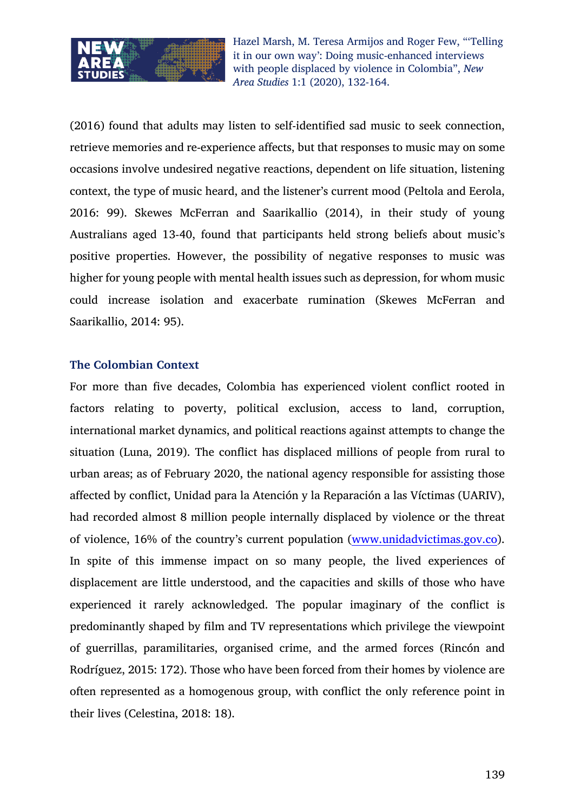

(2016) found that adults may listen to self-identified sad music to seek connection, retrieve memories and re-experience affects, but that responses to music may on some occasions involve undesired negative reactions, dependent on life situation, listening context, the type of music heard, and the listener's current mood (Peltola and Eerola, 2016: 99). Skewes McFerran and Saarikallio (2014), in their study of young Australians aged 13-40, found that participants held strong beliefs about music's positive properties. However, the possibility of negative responses to music was higher for young people with mental health issues such as depression, for whom music could increase isolation and exacerbate rumination (Skewes McFerran and Saarikallio, 2014: 95).

#### **The Colombian Context**

For more than five decades, Colombia has experienced violent conflict rooted in factors relating to poverty, political exclusion, access to land, corruption, international market dynamics, and political reactions against attempts to change the situation (Luna, 2019). The conflict has displaced millions of people from rural to urban areas; as of February 2020, the national agency responsible for assisting those affected by conflict, Unidad para la Atención y la Reparación a las Víctimas (UARIV), had recorded almost 8 million people internally displaced by violence or the threat of violence, 16% of the country's current population (www.unidadvictimas.gov.co). In spite of this immense impact on so many people, the lived experiences of displacement are little understood, and the capacities and skills of those who have experienced it rarely acknowledged. The popular imaginary of the conflict is predominantly shaped by film and TV representations which privilege the viewpoint of guerrillas, paramilitaries, organised crime, and the armed forces (Rincón and Rodríguez, 2015: 172). Those who have been forced from their homes by violence are often represented as a homogenous group, with conflict the only reference point in their lives (Celestina, 2018: 18).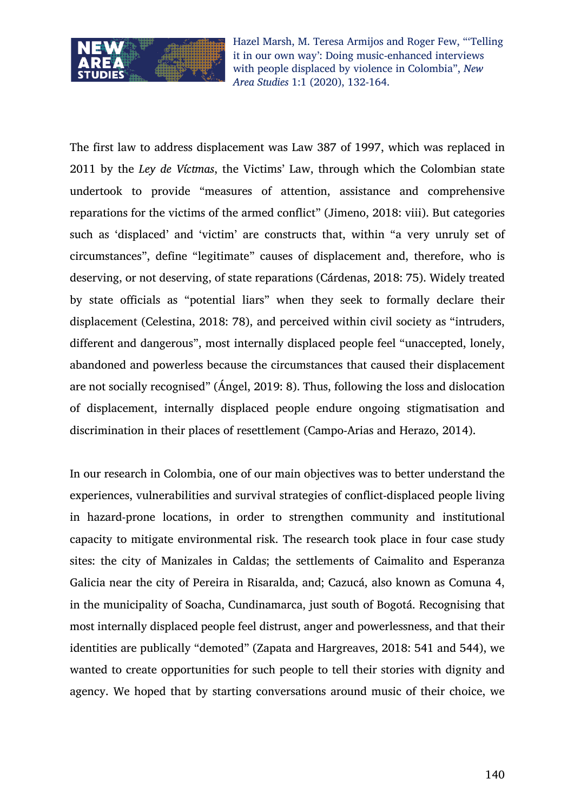

The first law to address displacement was Law 387 of 1997, which was replaced in 2011 by the *Ley de Víctmas*, the Victims' Law, through which the Colombian state undertook to provide "measures of attention, assistance and comprehensive reparations for the victims of the armed conflict" (Jimeno, 2018: viii). But categories such as 'displaced' and 'victim' are constructs that, within "a very unruly set of circumstances", define "legitimate" causes of displacement and, therefore, who is deserving, or not deserving, of state reparations (Cárdenas, 2018: 75). Widely treated by state officials as "potential liars" when they seek to formally declare their displacement (Celestina, 2018: 78), and perceived within civil society as "intruders, different and dangerous", most internally displaced people feel "unaccepted, lonely, abandoned and powerless because the circumstances that caused their displacement are not socially recognised" (Ángel, 2019: 8). Thus, following the loss and dislocation of displacement, internally displaced people endure ongoing stigmatisation and discrimination in their places of resettlement (Campo-Arias and Herazo, 2014).

In our research in Colombia, one of our main objectives was to better understand the experiences, vulnerabilities and survival strategies of conflict-displaced people living in hazard-prone locations, in order to strengthen community and institutional capacity to mitigate environmental risk. The research took place in four case study sites: the city of Manizales in Caldas; the settlements of Caimalito and Esperanza Galicia near the city of Pereira in Risaralda, and; Cazucá, also known as Comuna 4, in the municipality of Soacha, Cundinamarca, just south of Bogotá. Recognising that most internally displaced people feel distrust, anger and powerlessness, and that their identities are publically "demoted" (Zapata and Hargreaves, 2018: 541 and 544), we wanted to create opportunities for such people to tell their stories with dignity and agency. We hoped that by starting conversations around music of their choice, we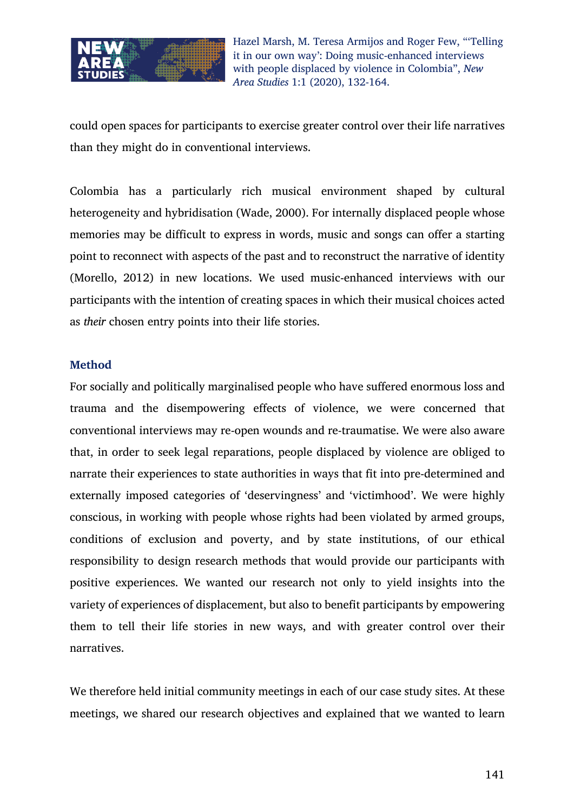

could open spaces for participants to exercise greater control over their life narratives than they might do in conventional interviews.

Colombia has a particularly rich musical environment shaped by cultural heterogeneity and hybridisation (Wade, 2000). For internally displaced people whose memories may be difficult to express in words, music and songs can offer a starting point to reconnect with aspects of the past and to reconstruct the narrative of identity (Morello, 2012) in new locations. We used music-enhanced interviews with our participants with the intention of creating spaces in which their musical choices acted as *their* chosen entry points into their life stories.

#### **Method**

For socially and politically marginalised people who have suffered enormous loss and trauma and the disempowering effects of violence, we were concerned that conventional interviews may re-open wounds and re-traumatise. We were also aware that, in order to seek legal reparations, people displaced by violence are obliged to narrate their experiences to state authorities in ways that fit into pre-determined and externally imposed categories of 'deservingness' and 'victimhood'. We were highly conscious, in working with people whose rights had been violated by armed groups, conditions of exclusion and poverty, and by state institutions, of our ethical responsibility to design research methods that would provide our participants with positive experiences. We wanted our research not only to yield insights into the variety of experiences of displacement, but also to benefit participants by empowering them to tell their life stories in new ways, and with greater control over their narratives.

We therefore held initial community meetings in each of our case study sites. At these meetings, we shared our research objectives and explained that we wanted to learn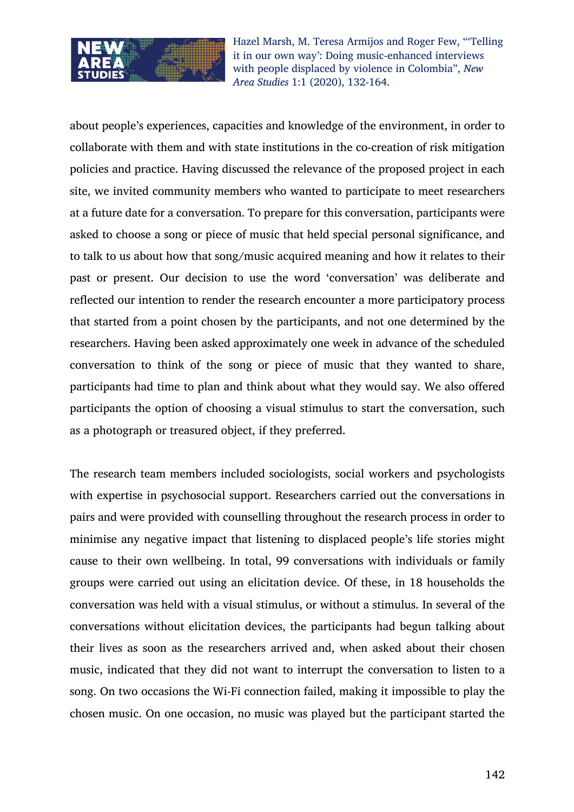

about people's experiences, capacities and knowledge of the environment, in order to collaborate with them and with state institutions in the co-creation of risk mitigation policies and practice. Having discussed the relevance of the proposed project in each site, we invited community members who wanted to participate to meet researchers at a future date for a conversation. To prepare for this conversation, participants were asked to choose a song or piece of music that held special personal significance, and to talk to us about how that song/music acquired meaning and how it relates to their past or present. Our decision to use the word 'conversation' was deliberate and reflected our intention to render the research encounter a more participatory process that started from a point chosen by the participants, and not one determined by the researchers. Having been asked approximately one week in advance of the scheduled conversation to think of the song or piece of music that they wanted to share, participants had time to plan and think about what they would say. We also offered participants the option of choosing a visual stimulus to start the conversation, such as a photograph or treasured object, if they preferred.

The research team members included sociologists, social workers and psychologists with expertise in psychosocial support. Researchers carried out the conversations in pairs and were provided with counselling throughout the research process in order to minimise any negative impact that listening to displaced people's life stories might cause to their own wellbeing. In total, 99 conversations with individuals or family groups were carried out using an elicitation device. Of these, in 18 households the conversation was held with a visual stimulus, or without a stimulus. In several of the conversations without elicitation devices, the participants had begun talking about their lives as soon as the researchers arrived and, when asked about their chosen music, indicated that they did not want to interrupt the conversation to listen to a song. On two occasions the Wi-Fi connection failed, making it impossible to play the chosen music. On one occasion, no music was played but the participant started the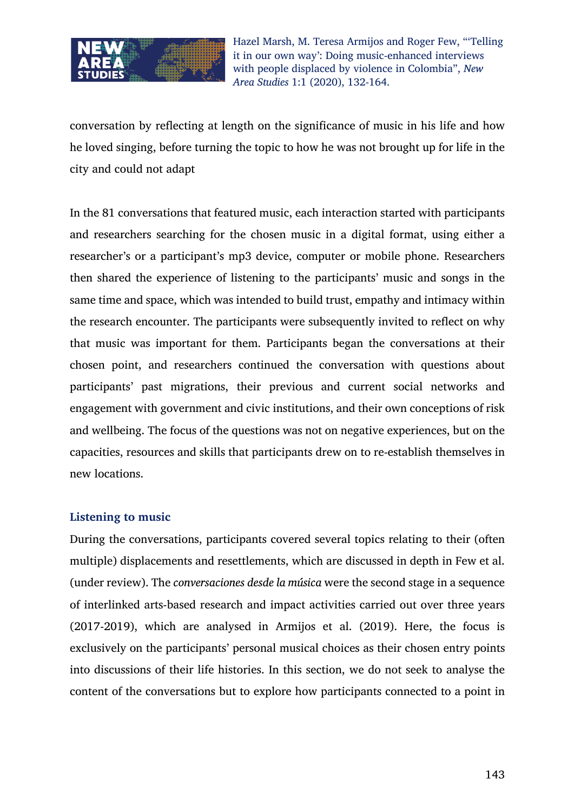

conversation by reflecting at length on the significance of music in his life and how he loved singing, before turning the topic to how he was not brought up for life in the city and could not adapt

In the 81 conversations that featured music, each interaction started with participants and researchers searching for the chosen music in a digital format, using either a researcher's or a participant's mp3 device, computer or mobile phone. Researchers then shared the experience of listening to the participants' music and songs in the same time and space, which was intended to build trust, empathy and intimacy within the research encounter. The participants were subsequently invited to reflect on why that music was important for them. Participants began the conversations at their chosen point, and researchers continued the conversation with questions about participants' past migrations, their previous and current social networks and engagement with government and civic institutions, and their own conceptions of risk and wellbeing. The focus of the questions was not on negative experiences, but on the capacities, resources and skills that participants drew on to re-establish themselves in new locations.

#### **Listening to music**

During the conversations, participants covered several topics relating to their (often multiple) displacements and resettlements, which are discussed in depth in Few et al. (under review). The *conversaciones desde la música* were the second stage in a sequence of interlinked arts-based research and impact activities carried out over three years (2017-2019), which are analysed in Armijos et al. (2019). Here, the focus is exclusively on the participants' personal musical choices as their chosen entry points into discussions of their life histories. In this section, we do not seek to analyse the content of the conversations but to explore how participants connected to a point in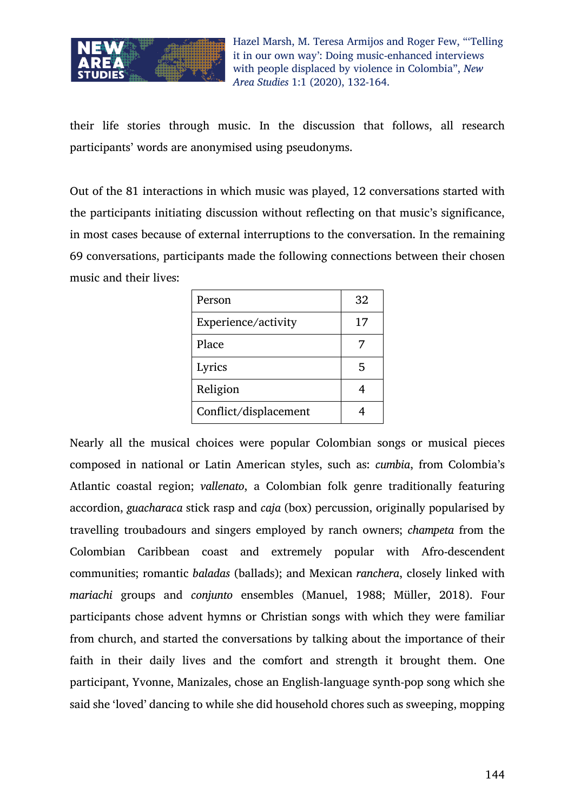

their life stories through music. In the discussion that follows, all research participants' words are anonymised using pseudonyms.

Out of the 81 interactions in which music was played, 12 conversations started with the participants initiating discussion without reflecting on that music's significance, in most cases because of external interruptions to the conversation. In the remaining 69 conversations, participants made the following connections between their chosen music and their lives:

| Person                | 32 |
|-----------------------|----|
| Experience/activity   | 17 |
| Place                 |    |
| Lyrics                | 5  |
| Religion              |    |
| Conflict/displacement |    |

Nearly all the musical choices were popular Colombian songs or musical pieces composed in national or Latin American styles, such as: *cumbia*, from Colombia's Atlantic coastal region; *vallenato*, a Colombian folk genre traditionally featuring accordion, *guacharaca* stick rasp and *caja* (box) percussion, originally popularised by travelling troubadours and singers employed by ranch owners; *champeta* from the Colombian Caribbean coast and extremely popular with Afro-descendent communities; romantic *baladas* (ballads); and Mexican *ranchera*, closely linked with *mariachi* groups and *conjunto* ensembles (Manuel, 1988; Müller, 2018). Four participants chose advent hymns or Christian songs with which they were familiar from church, and started the conversations by talking about the importance of their faith in their daily lives and the comfort and strength it brought them. One participant, Yvonne, Manizales, chose an English-language synth-pop song which she said she 'loved' dancing to while she did household chores such as sweeping, mopping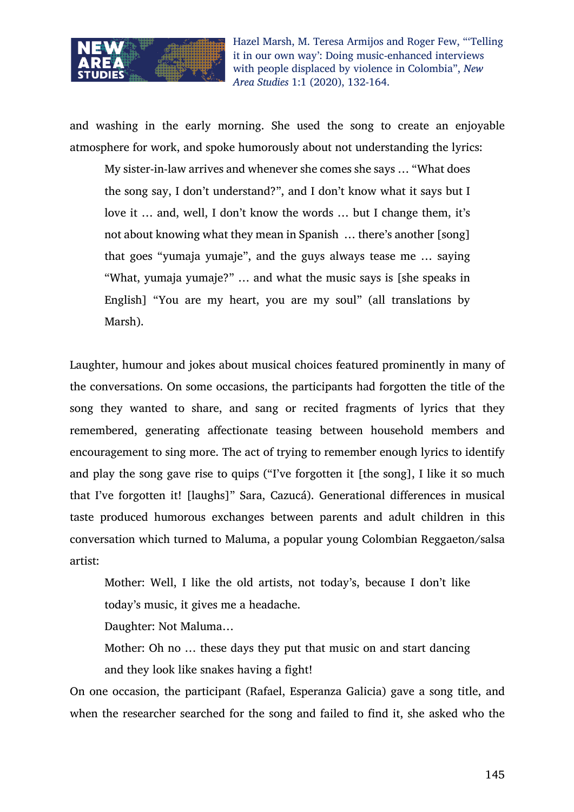

and washing in the early morning. She used the song to create an enjoyable atmosphere for work, and spoke humorously about not understanding the lyrics:

My sister-in-law arrives and whenever she comes she says … "What does the song say, I don't understand?", and I don't know what it says but I love it … and, well, I don't know the words … but I change them, it's not about knowing what they mean in Spanish … there's another [song] that goes "yumaja yumaje", and the guys always tease me … saying "What, yumaja yumaje?" … and what the music says is [she speaks in English] "You are my heart, you are my soul" (all translations by Marsh).

Laughter, humour and jokes about musical choices featured prominently in many of the conversations. On some occasions, the participants had forgotten the title of the song they wanted to share, and sang or recited fragments of lyrics that they remembered, generating affectionate teasing between household members and encouragement to sing more. The act of trying to remember enough lyrics to identify and play the song gave rise to quips ("I've forgotten it [the song], I like it so much that I've forgotten it! [laughs]" Sara, Cazucá). Generational differences in musical taste produced humorous exchanges between parents and adult children in this conversation which turned to Maluma, a popular young Colombian Reggaeton/salsa artist:

Mother: Well, I like the old artists, not today's, because I don't like today's music, it gives me a headache.

Daughter: Not Maluma…

Mother: Oh no … these days they put that music on and start dancing and they look like snakes having a fight!

On one occasion, the participant (Rafael, Esperanza Galicia) gave a song title, and when the researcher searched for the song and failed to find it, she asked who the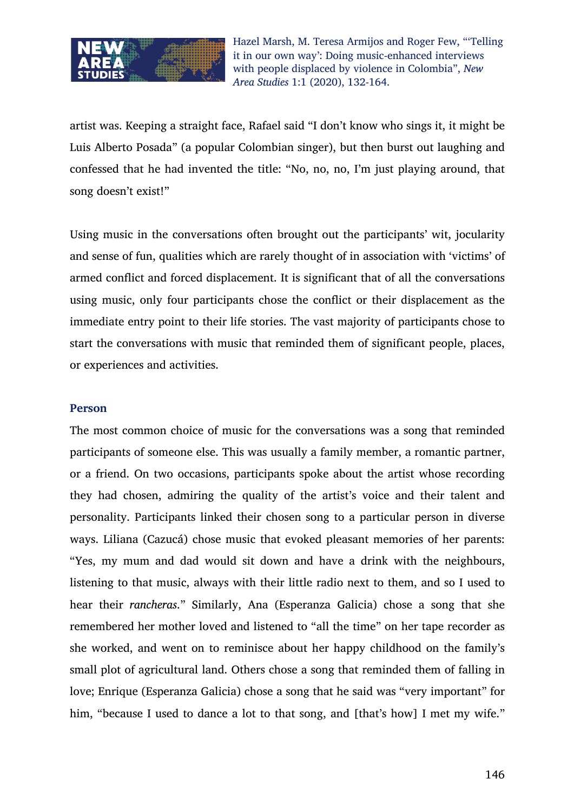

artist was. Keeping a straight face, Rafael said "I don't know who sings it, it might be Luis Alberto Posada" (a popular Colombian singer), but then burst out laughing and confessed that he had invented the title: "No, no, no, I'm just playing around, that song doesn't exist!"

Using music in the conversations often brought out the participants' wit, jocularity and sense of fun, qualities which are rarely thought of in association with 'victims' of armed conflict and forced displacement. It is significant that of all the conversations using music, only four participants chose the conflict or their displacement as the immediate entry point to their life stories. The vast majority of participants chose to start the conversations with music that reminded them of significant people, places, or experiences and activities.

## **Person**

The most common choice of music for the conversations was a song that reminded participants of someone else. This was usually a family member, a romantic partner, or a friend. On two occasions, participants spoke about the artist whose recording they had chosen, admiring the quality of the artist's voice and their talent and personality. Participants linked their chosen song to a particular person in diverse ways. Liliana (Cazucá) chose music that evoked pleasant memories of her parents: "Yes, my mum and dad would sit down and have a drink with the neighbours, listening to that music, always with their little radio next to them, and so I used to hear their *rancheras*." Similarly, Ana (Esperanza Galicia) chose a song that she remembered her mother loved and listened to "all the time" on her tape recorder as she worked, and went on to reminisce about her happy childhood on the family's small plot of agricultural land. Others chose a song that reminded them of falling in love; Enrique (Esperanza Galicia) chose a song that he said was "very important" for him, "because I used to dance a lot to that song, and [that's how] I met my wife."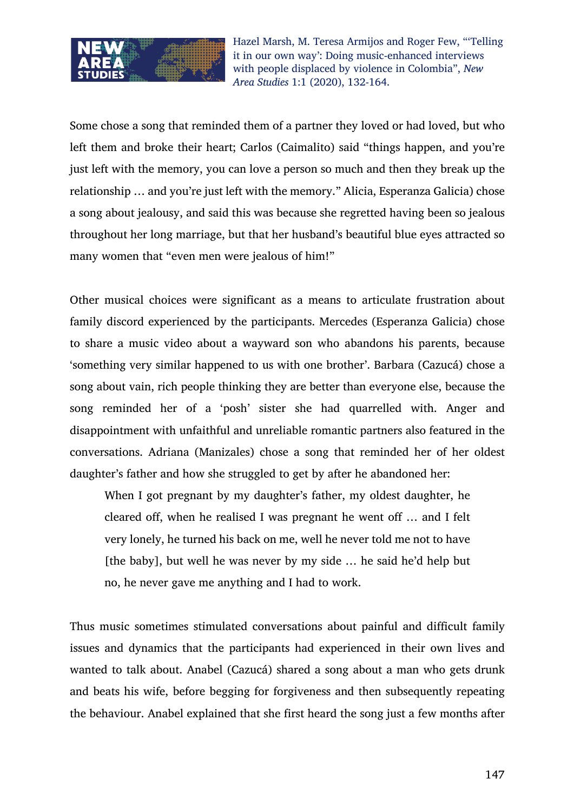

Some chose a song that reminded them of a partner they loved or had loved, but who left them and broke their heart; Carlos (Caimalito) said "things happen, and you're just left with the memory, you can love a person so much and then they break up the relationship … and you're just left with the memory." Alicia, Esperanza Galicia) chose a song about jealousy, and said this was because she regretted having been so jealous throughout her long marriage, but that her husband's beautiful blue eyes attracted so many women that "even men were jealous of him!"

Other musical choices were significant as a means to articulate frustration about family discord experienced by the participants. Mercedes (Esperanza Galicia) chose to share a music video about a wayward son who abandons his parents, because 'something very similar happened to us with one brother'. Barbara (Cazucá) chose a song about vain, rich people thinking they are better than everyone else, because the song reminded her of a 'posh' sister she had quarrelled with. Anger and disappointment with unfaithful and unreliable romantic partners also featured in the conversations. Adriana (Manizales) chose a song that reminded her of her oldest daughter's father and how she struggled to get by after he abandoned her:

When I got pregnant by my daughter's father, my oldest daughter, he cleared off, when he realised I was pregnant he went off … and I felt very lonely, he turned his back on me, well he never told me not to have [the baby], but well he was never by my side … he said he'd help but no, he never gave me anything and I had to work.

Thus music sometimes stimulated conversations about painful and difficult family issues and dynamics that the participants had experienced in their own lives and wanted to talk about. Anabel (Cazucá) shared a song about a man who gets drunk and beats his wife, before begging for forgiveness and then subsequently repeating the behaviour. Anabel explained that she first heard the song just a few months after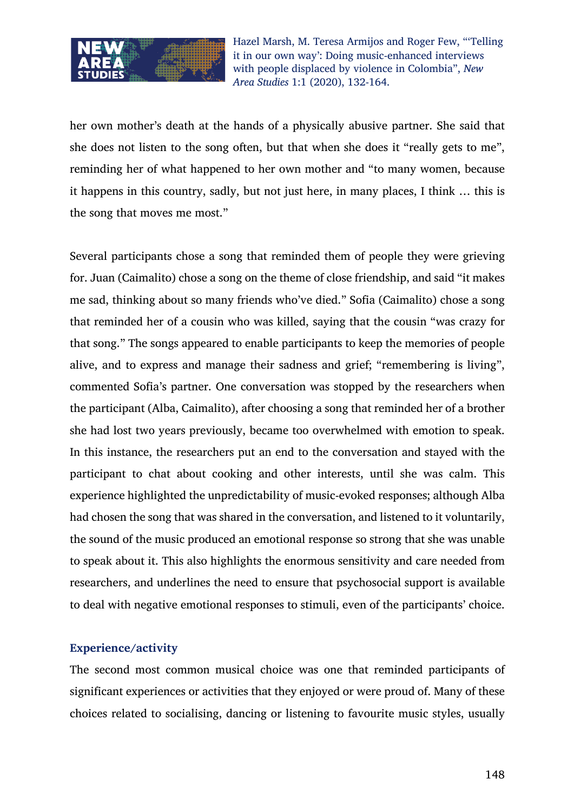

her own mother's death at the hands of a physically abusive partner. She said that she does not listen to the song often, but that when she does it "really gets to me", reminding her of what happened to her own mother and "to many women, because it happens in this country, sadly, but not just here, in many places, I think … this is the song that moves me most."

Several participants chose a song that reminded them of people they were grieving for. Juan (Caimalito) chose a song on the theme of close friendship, and said "it makes me sad, thinking about so many friends who've died." Sofia (Caimalito) chose a song that reminded her of a cousin who was killed, saying that the cousin "was crazy for that song." The songs appeared to enable participants to keep the memories of people alive, and to express and manage their sadness and grief; "remembering is living", commented Sofia's partner. One conversation was stopped by the researchers when the participant (Alba, Caimalito), after choosing a song that reminded her of a brother she had lost two years previously, became too overwhelmed with emotion to speak. In this instance, the researchers put an end to the conversation and stayed with the participant to chat about cooking and other interests, until she was calm. This experience highlighted the unpredictability of music-evoked responses; although Alba had chosen the song that was shared in the conversation, and listened to it voluntarily, the sound of the music produced an emotional response so strong that she was unable to speak about it. This also highlights the enormous sensitivity and care needed from researchers, and underlines the need to ensure that psychosocial support is available to deal with negative emotional responses to stimuli, even of the participants' choice.

## **Experience/activity**

The second most common musical choice was one that reminded participants of significant experiences or activities that they enjoyed or were proud of. Many of these choices related to socialising, dancing or listening to favourite music styles, usually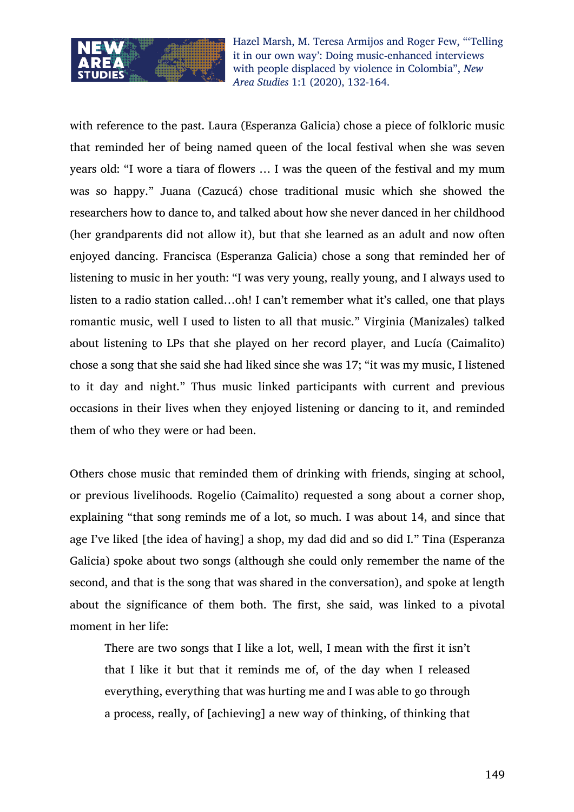

with reference to the past. Laura (Esperanza Galicia) chose a piece of folkloric music that reminded her of being named queen of the local festival when she was seven years old: "I wore a tiara of flowers … I was the queen of the festival and my mum was so happy." Juana (Cazucá) chose traditional music which she showed the researchers how to dance to, and talked about how she never danced in her childhood (her grandparents did not allow it), but that she learned as an adult and now often enjoyed dancing. Francisca (Esperanza Galicia) chose a song that reminded her of listening to music in her youth: "I was very young, really young, and I always used to listen to a radio station called…oh! I can't remember what it's called, one that plays romantic music, well I used to listen to all that music." Virginia (Manizales) talked about listening to LPs that she played on her record player, and Lucía (Caimalito) chose a song that she said she had liked since she was 17; "it was my music, I listened to it day and night." Thus music linked participants with current and previous occasions in their lives when they enjoyed listening or dancing to it, and reminded them of who they were or had been.

Others chose music that reminded them of drinking with friends, singing at school, or previous livelihoods. Rogelio (Caimalito) requested a song about a corner shop, explaining "that song reminds me of a lot, so much. I was about 14, and since that age I've liked [the idea of having] a shop, my dad did and so did I." Tina (Esperanza Galicia) spoke about two songs (although she could only remember the name of the second, and that is the song that was shared in the conversation), and spoke at length about the significance of them both. The first, she said, was linked to a pivotal moment in her life:

There are two songs that I like a lot, well, I mean with the first it isn't that I like it but that it reminds me of, of the day when I released everything, everything that was hurting me and I was able to go through a process, really, of [achieving] a new way of thinking, of thinking that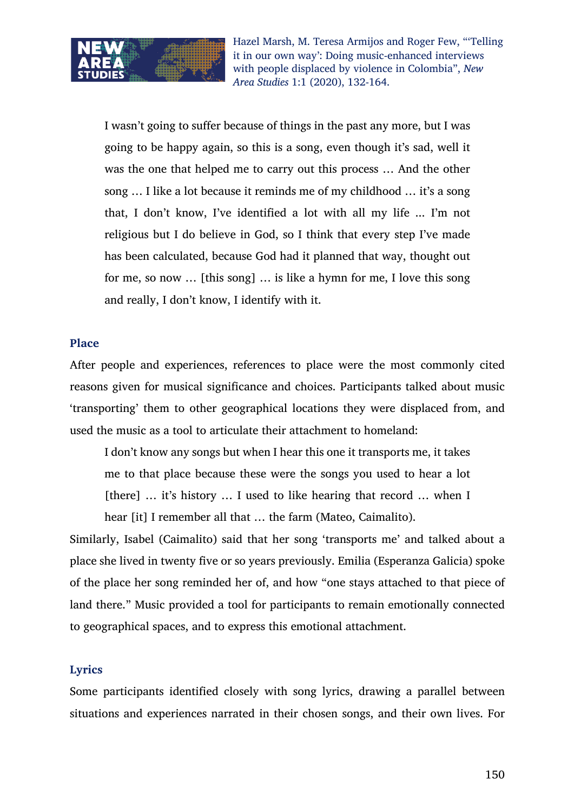

I wasn't going to suffer because of things in the past any more, but I was going to be happy again, so this is a song, even though it's sad, well it was the one that helped me to carry out this process … And the other song … I like a lot because it reminds me of my childhood … it's a song that, I don't know, I've identified a lot with all my life ... I'm not religious but I do believe in God, so I think that every step I've made has been calculated, because God had it planned that way, thought out for me, so now … [this song] … is like a hymn for me, I love this song and really, I don't know, I identify with it.

#### **Place**

After people and experiences, references to place were the most commonly cited reasons given for musical significance and choices. Participants talked about music 'transporting' them to other geographical locations they were displaced from, and used the music as a tool to articulate their attachment to homeland:

I don't know any songs but when I hear this one it transports me, it takes me to that place because these were the songs you used to hear a lot [there] ... it's history ... I used to like hearing that record ... when I hear [it] I remember all that … the farm (Mateo, Caimalito).

Similarly, Isabel (Caimalito) said that her song 'transports me' and talked about a place she lived in twenty five or so years previously. Emilia (Esperanza Galicia) spoke of the place her song reminded her of, and how "one stays attached to that piece of land there." Music provided a tool for participants to remain emotionally connected to geographical spaces, and to express this emotional attachment.

#### **Lyrics**

Some participants identified closely with song lyrics, drawing a parallel between situations and experiences narrated in their chosen songs, and their own lives. For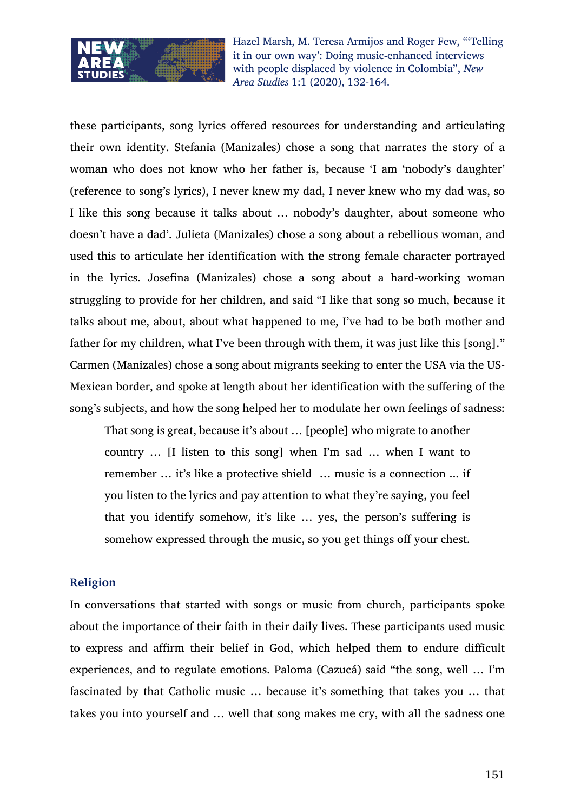

these participants, song lyrics offered resources for understanding and articulating their own identity. Stefania (Manizales) chose a song that narrates the story of a woman who does not know who her father is, because 'I am 'nobody's daughter' (reference to song's lyrics), I never knew my dad, I never knew who my dad was, so I like this song because it talks about … nobody's daughter, about someone who doesn't have a dad'. Julieta (Manizales) chose a song about a rebellious woman, and used this to articulate her identification with the strong female character portrayed in the lyrics. Josefina (Manizales) chose a song about a hard-working woman struggling to provide for her children, and said "I like that song so much, because it talks about me, about, about what happened to me, I've had to be both mother and father for my children, what I've been through with them, it was just like this [song]." Carmen (Manizales) chose a song about migrants seeking to enter the USA via the US-Mexican border, and spoke at length about her identification with the suffering of the song's subjects, and how the song helped her to modulate her own feelings of sadness:

That song is great, because it's about … [people] who migrate to another country … [I listen to this song] when I'm sad … when I want to remember … it's like a protective shield … music is a connection ... if you listen to the lyrics and pay attention to what they're saying, you feel that you identify somehow, it's like … yes, the person's suffering is somehow expressed through the music, so you get things off your chest.

#### **Religion**

In conversations that started with songs or music from church, participants spoke about the importance of their faith in their daily lives. These participants used music to express and affirm their belief in God, which helped them to endure difficult experiences, and to regulate emotions. Paloma (Cazucá) said "the song, well … I'm fascinated by that Catholic music … because it's something that takes you … that takes you into yourself and … well that song makes me cry, with all the sadness one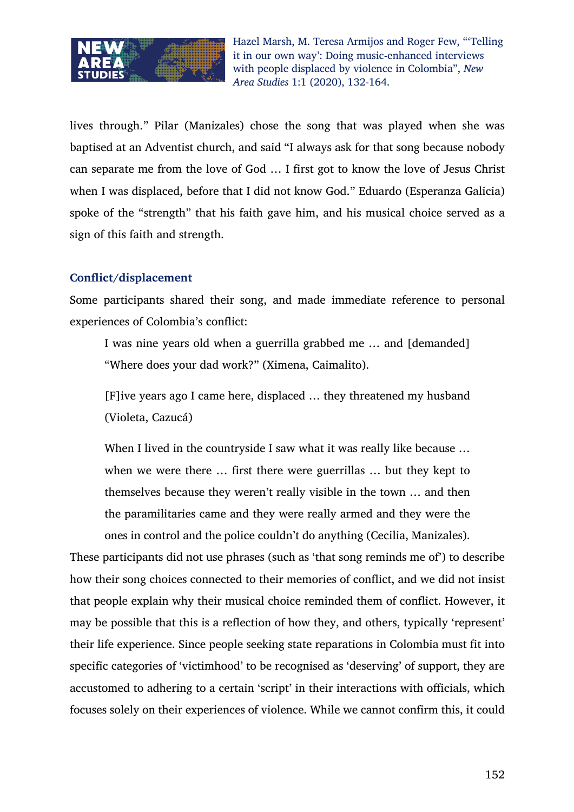

lives through." Pilar (Manizales) chose the song that was played when she was baptised at an Adventist church, and said "I always ask for that song because nobody can separate me from the love of God … I first got to know the love of Jesus Christ when I was displaced, before that I did not know God." Eduardo (Esperanza Galicia) spoke of the "strength" that his faith gave him, and his musical choice served as a sign of this faith and strength.

## **Conflict/displacement**

Some participants shared their song, and made immediate reference to personal experiences of Colombia's conflict:

I was nine years old when a guerrilla grabbed me … and [demanded] "Where does your dad work?" (Ximena, Caimalito).

[F]ive years ago I came here, displaced … they threatened my husband (Violeta, Cazucá)

When I lived in the countryside I saw what it was really like because ... when we were there … first there were guerrillas … but they kept to themselves because they weren't really visible in the town … and then the paramilitaries came and they were really armed and they were the ones in control and the police couldn't do anything (Cecilia, Manizales).

These participants did not use phrases (such as 'that song reminds me of') to describe how their song choices connected to their memories of conflict, and we did not insist that people explain why their musical choice reminded them of conflict. However, it may be possible that this is a reflection of how they, and others, typically 'represent' their life experience. Since people seeking state reparations in Colombia must fit into specific categories of 'victimhood' to be recognised as 'deserving' of support, they are accustomed to adhering to a certain 'script' in their interactions with officials, which focuses solely on their experiences of violence. While we cannot confirm this, it could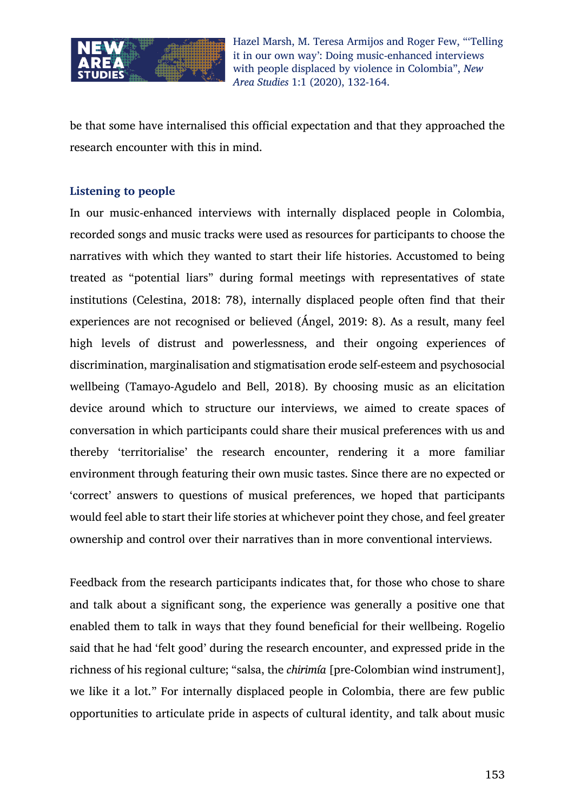

be that some have internalised this official expectation and that they approached the research encounter with this in mind.

## **Listening to people**

In our music-enhanced interviews with internally displaced people in Colombia, recorded songs and music tracks were used as resources for participants to choose the narratives with which they wanted to start their life histories. Accustomed to being treated as "potential liars" during formal meetings with representatives of state institutions (Celestina, 2018: 78), internally displaced people often find that their experiences are not recognised or believed (Ángel, 2019: 8). As a result, many feel high levels of distrust and powerlessness, and their ongoing experiences of discrimination, marginalisation and stigmatisation erode self-esteem and psychosocial wellbeing (Tamayo-Agudelo and Bell, 2018). By choosing music as an elicitation device around which to structure our interviews, we aimed to create spaces of conversation in which participants could share their musical preferences with us and thereby 'territorialise' the research encounter, rendering it a more familiar environment through featuring their own music tastes. Since there are no expected or 'correct' answers to questions of musical preferences, we hoped that participants would feel able to start their life stories at whichever point they chose, and feel greater ownership and control over their narratives than in more conventional interviews.

Feedback from the research participants indicates that, for those who chose to share and talk about a significant song, the experience was generally a positive one that enabled them to talk in ways that they found beneficial for their wellbeing. Rogelio said that he had 'felt good' during the research encounter, and expressed pride in the richness of his regional culture; "salsa, the *chirimía* [pre-Colombian wind instrument], we like it a lot." For internally displaced people in Colombia, there are few public opportunities to articulate pride in aspects of cultural identity, and talk about music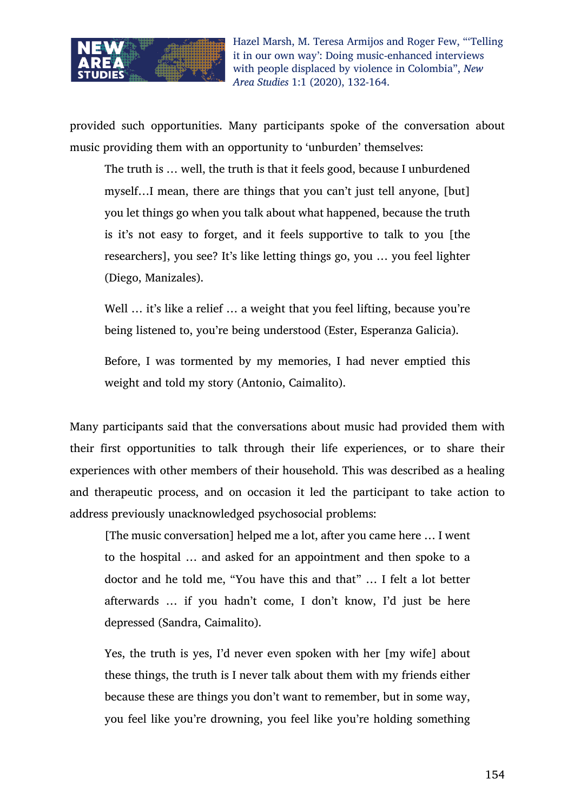

provided such opportunities. Many participants spoke of the conversation about music providing them with an opportunity to 'unburden' themselves:

The truth is … well, the truth is that it feels good, because I unburdened myself…I mean, there are things that you can't just tell anyone, [but] you let things go when you talk about what happened, because the truth is it's not easy to forget, and it feels supportive to talk to you [the researchers], you see? It's like letting things go, you … you feel lighter (Diego, Manizales).

Well ... it's like a relief ... a weight that you feel lifting, because you're being listened to, you're being understood (Ester, Esperanza Galicia).

Before, I was tormented by my memories, I had never emptied this weight and told my story (Antonio, Caimalito).

Many participants said that the conversations about music had provided them with their first opportunities to talk through their life experiences, or to share their experiences with other members of their household. This was described as a healing and therapeutic process, and on occasion it led the participant to take action to address previously unacknowledged psychosocial problems:

[The music conversation] helped me a lot, after you came here … I went to the hospital … and asked for an appointment and then spoke to a doctor and he told me, "You have this and that" … I felt a lot better afterwards … if you hadn't come, I don't know, I'd just be here depressed (Sandra, Caimalito).

Yes, the truth is yes, I'd never even spoken with her [my wife] about these things, the truth is I never talk about them with my friends either because these are things you don't want to remember, but in some way, you feel like you're drowning, you feel like you're holding something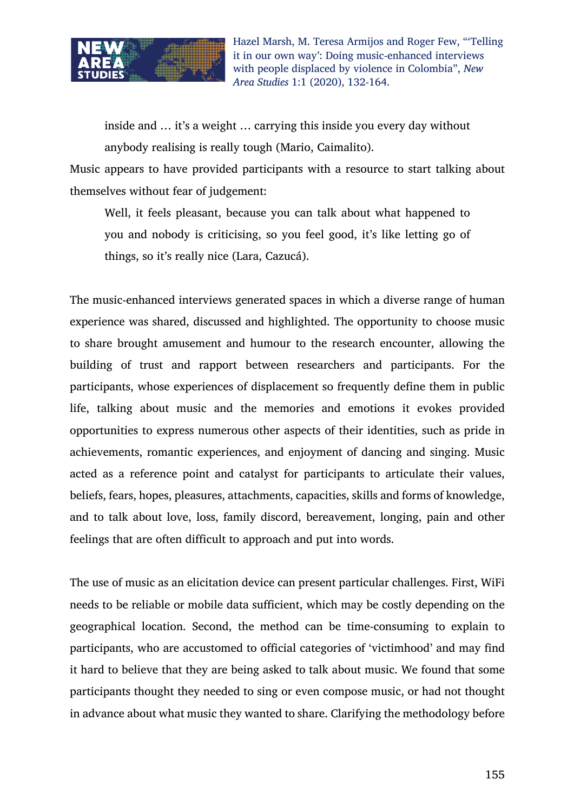

inside and … it's a weight … carrying this inside you every day without anybody realising is really tough (Mario, Caimalito).

Music appears to have provided participants with a resource to start talking about themselves without fear of judgement:

Well, it feels pleasant, because you can talk about what happened to you and nobody is criticising, so you feel good, it's like letting go of things, so it's really nice (Lara, Cazucá).

The music-enhanced interviews generated spaces in which a diverse range of human experience was shared, discussed and highlighted. The opportunity to choose music to share brought amusement and humour to the research encounter, allowing the building of trust and rapport between researchers and participants. For the participants, whose experiences of displacement so frequently define them in public life, talking about music and the memories and emotions it evokes provided opportunities to express numerous other aspects of their identities, such as pride in achievements, romantic experiences, and enjoyment of dancing and singing. Music acted as a reference point and catalyst for participants to articulate their values, beliefs, fears, hopes, pleasures, attachments, capacities, skills and forms of knowledge, and to talk about love, loss, family discord, bereavement, longing, pain and other feelings that are often difficult to approach and put into words.

The use of music as an elicitation device can present particular challenges. First, WiFi needs to be reliable or mobile data sufficient, which may be costly depending on the geographical location. Second, the method can be time-consuming to explain to participants, who are accustomed to official categories of 'victimhood' and may find it hard to believe that they are being asked to talk about music. We found that some participants thought they needed to sing or even compose music, or had not thought in advance about what music they wanted to share. Clarifying the methodology before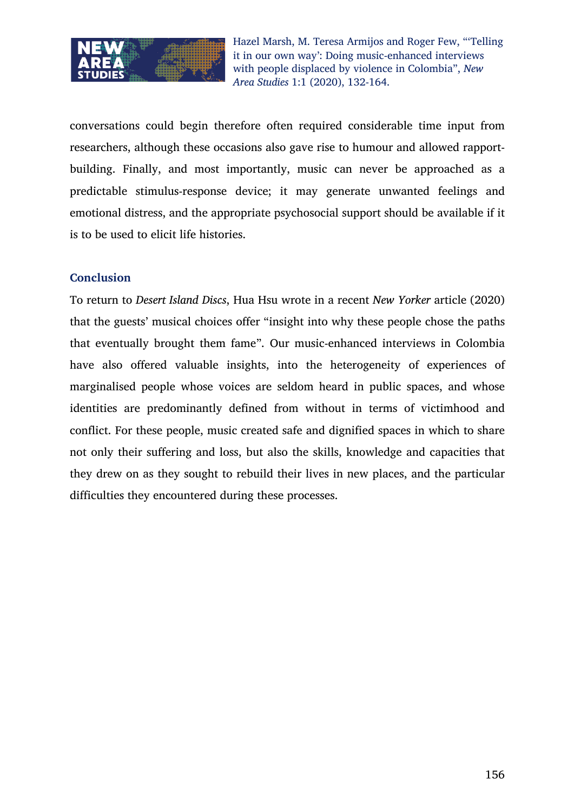

conversations could begin therefore often required considerable time input from researchers, although these occasions also gave rise to humour and allowed rapportbuilding. Finally, and most importantly, music can never be approached as a predictable stimulus-response device; it may generate unwanted feelings and emotional distress, and the appropriate psychosocial support should be available if it is to be used to elicit life histories.

## **Conclusion**

To return to *Desert Island Discs*, Hua Hsu wrote in a recent *New Yorker* article (2020) that the guests' musical choices offer "insight into why these people chose the paths that eventually brought them fame". Our music-enhanced interviews in Colombia have also offered valuable insights, into the heterogeneity of experiences of marginalised people whose voices are seldom heard in public spaces, and whose identities are predominantly defined from without in terms of victimhood and conflict. For these people, music created safe and dignified spaces in which to share not only their suffering and loss, but also the skills, knowledge and capacities that they drew on as they sought to rebuild their lives in new places, and the particular difficulties they encountered during these processes.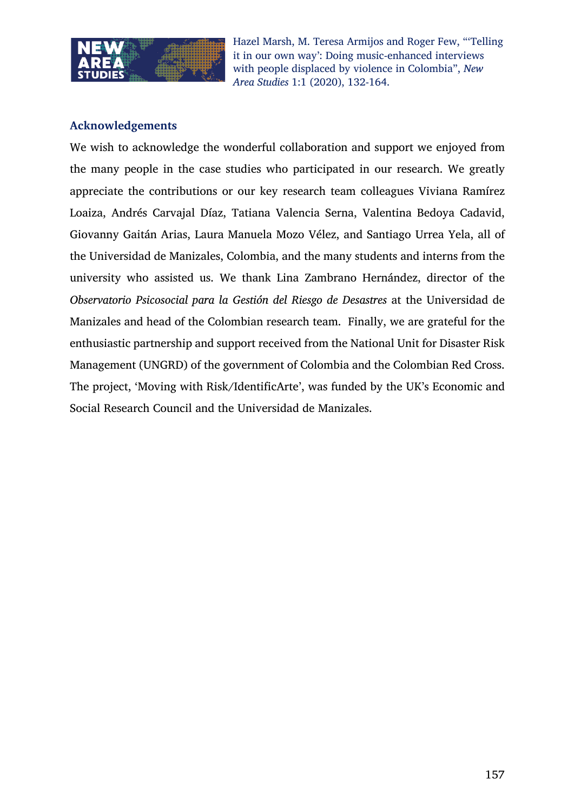

## **Acknowledgements**

We wish to acknowledge the wonderful collaboration and support we enjoyed from the many people in the case studies who participated in our research. We greatly appreciate the contributions or our key research team colleagues Viviana Ramírez Loaiza, Andrés Carvajal Díaz, Tatiana Valencia Serna, Valentina Bedoya Cadavid, Giovanny Gaitán Arias, Laura Manuela Mozo Vélez, and Santiago Urrea Yela, all of the Universidad de Manizales, Colombia, and the many students and interns from the university who assisted us. We thank Lina Zambrano Hernández, director of the *Observatorio Psicosocial para la Gestión del Riesgo de Desastres* at the Universidad de Manizales and head of the Colombian research team. Finally, we are grateful for the enthusiastic partnership and support received from the National Unit for Disaster Risk Management (UNGRD) of the government of Colombia and the Colombian Red Cross. The project, 'Moving with Risk/IdentificArte', was funded by the UK's Economic and Social Research Council and the Universidad de Manizales.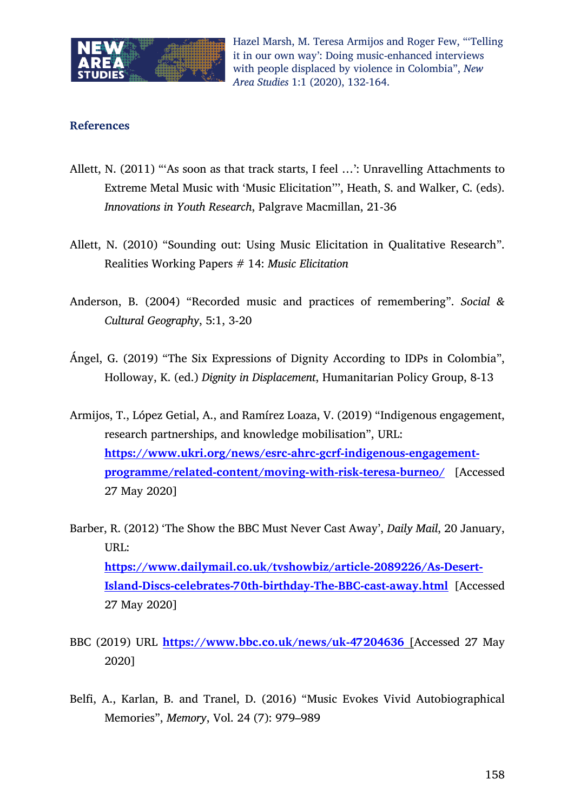

### **References**

- Allett, N. (2011) "'As soon as that track starts, I feel …': Unravelling Attachments to Extreme Metal Music with 'Music Elicitation''', Heath, S. and Walker, C. (eds). *Innovations in Youth Research*, Palgrave Macmillan, 21-36
- Allett, N. (2010) "Sounding out: Using Music Elicitation in Qualitative Research". Realities Working Papers # 14: *Music Elicitation*
- Anderson, B. (2004) "Recorded music and practices of remembering". *Social & Cultural Geography*, 5:1, 3-20
- Ángel, G. (2019) "The Six Expressions of Dignity According to IDPs in Colombia", Holloway, K. (ed.) *Dignity in Displacement*, Humanitarian Policy Group, 8-13
- Armijos, T., López Getial, A., and Ramírez Loaza, V. (2019) "Indigenous engagement, research partnerships, and knowledge mobilisation", URL: **https://www.ukri.org/news/esrc-ahrc-gcrf-indigenous-engagementprogramme/related-content/moving-with-risk-teresa-burneo/** [Accessed 27 May 2020]
- Barber, R. (2012) 'The Show the BBC Must Never Cast Away', *Daily Mail*, 20 January, URL: **https://www.dailymail.co.uk/tvshowbiz/article-2089226/As-Desert-Island-Discs-celebrates-70th-birthday-The-BBC-cast-away.html** [Accessed 27 May 2020]
- BBC (2019) URL **https://www.bbc.co.uk/news/uk-47204636** [Accessed 27 May 2020]
- Belfi, A., Karlan, B. and Tranel, D. (2016) "Music Evokes Vivid Autobiographical Memories", *Memory*, Vol. 24 (7): 979–989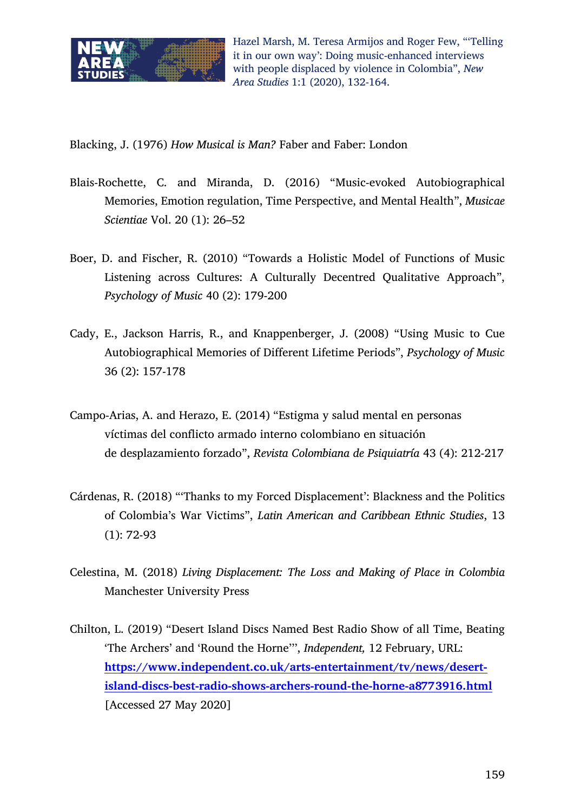

Blacking, J. (1976) *How Musical is Man?* Faber and Faber: London

- Blais-Rochette, C. and Miranda, D. (2016) "Music-evoked Autobiographical Memories, Emotion regulation, Time Perspective, and Mental Health", *Musicae Scientiae* Vol. 20 (1): 26–52
- Boer, D. and Fischer, R. (2010) "Towards a Holistic Model of Functions of Music Listening across Cultures: A Culturally Decentred Qualitative Approach", *Psychology of Music* 40 (2): 179-200
- Cady, E., Jackson Harris, R., and Knappenberger, J. (2008) "Using Music to Cue Autobiographical Memories of Different Lifetime Periods", *Psychology of Music*  36 (2): 157-178
- Campo-Arias, A. and Herazo, E. (2014) "Estigma y salud mental en personas víctimas del conflicto armado interno colombiano en situación de desplazamiento forzado", *Revista Colombiana de Psiquiatría* 43 (4): 212-217
- Cárdenas, R. (2018) "'Thanks to my Forced Displacement': Blackness and the Politics of Colombia's War Victims", *Latin American and Caribbean Ethnic Studies*, 13 (1): 72-93
- Celestina, M. (2018) *Living Displacement: The Loss and Making of Place in Colombia*  Manchester University Press
- Chilton, L. (2019) "Desert Island Discs Named Best Radio Show of all Time, Beating 'The Archers' and 'Round the Horne''', *Independent,* 12 February, URL: **https://www.independent.co.uk/arts-entertainment/tv/news/desertisland-discs-best-radio-shows-archers-round-the-horne-a8773916.html** [Accessed 27 May 2020]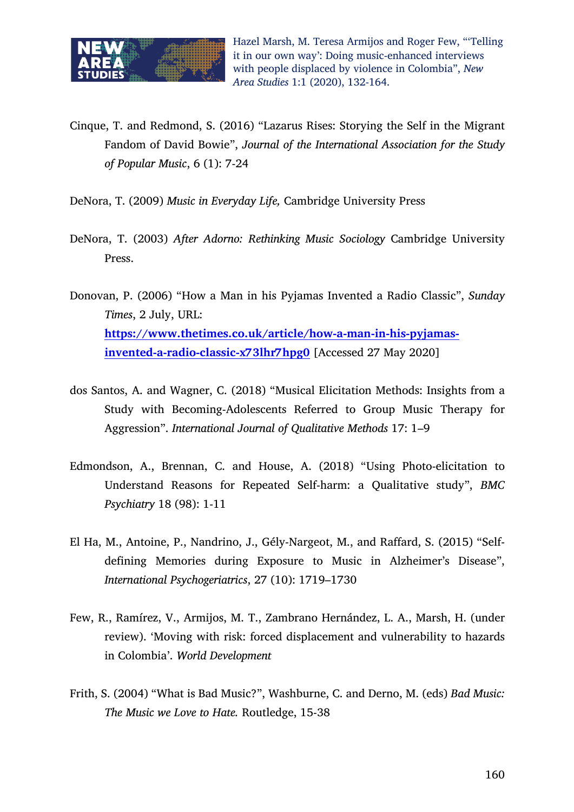

- Cinque, T. and Redmond, S. (2016) "Lazarus Rises: Storying the Self in the Migrant Fandom of David Bowie", *Journal of the International Association for the Study of Popular Music*, 6 (1): 7-24
- DeNora, T. (2009) *Music in Everyday Life,* Cambridge University Press
- DeNora, T. (2003) *After Adorno: Rethinking Music Sociology* Cambridge University Press.
- Donovan, P. (2006) "How a Man in his Pyjamas Invented a Radio Classic", *Sunday Times*, 2 July, URL: **https://www.thetimes.co.uk/article/how-a-man-in-his-pyjamasinvented-a-radio-classic-x73lhr7hpg0** [Accessed 27 May 2020]
- dos Santos, A. and Wagner, C. (2018) "Musical Elicitation Methods: Insights from a Study with Becoming-Adolescents Referred to Group Music Therapy for Aggression". *International Journal of Qualitative Methods* 17: 1–9
- Edmondson, A., Brennan, C. and House, A. (2018) "Using Photo-elicitation to Understand Reasons for Repeated Self-harm: a Qualitative study", *BMC Psychiatry* 18 (98): 1-11
- El Ha, M., Antoine, P., Nandrino, J., Gély-Nargeot, M., and Raffard, S. (2015) "Selfdefining Memories during Exposure to Music in Alzheimer's Disease", *International Psychogeriatrics*, 27 (10): 1719–1730
- Few, R., Ramírez, V., Armijos, M. T., Zambrano Hernández, L. A., Marsh, H. (under review). 'Moving with risk: forced displacement and vulnerability to hazards in Colombia'. *World Development*
- Frith, S. (2004) "What is Bad Music?", Washburne, C. and Derno, M. (eds) *Bad Music: The Music we Love to Hate.* Routledge, 15-38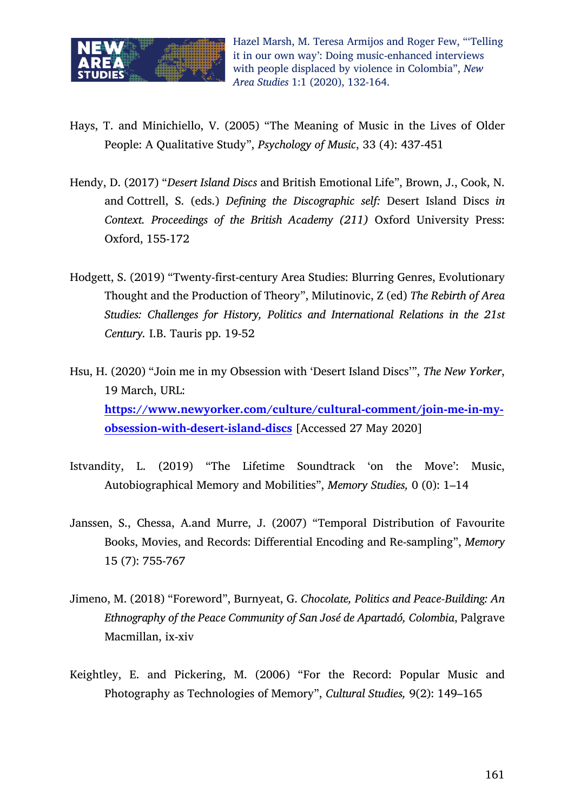

- Hays, T. and Minichiello, V. (2005) "The Meaning of Music in the Lives of Older People: A Qualitative Study", *Psychology of Music*, 33 (4): 437-451
- Hendy, D. (2017) "*Desert Island Discs* and British Emotional Life", Brown, J., Cook, N. and Cottrell, S. (eds.) *Defining the Discographic self:* Desert Island Discs *in Context. Proceedings of the British Academy (211)* Oxford University Press: Oxford, 155-172
- Hodgett, S. (2019) "Twenty-first-century Area Studies: Blurring Genres, Evolutionary Thought and the Production of Theory", Milutinovic, Z (ed) *The Rebirth of Area Studies: Challenges for History, Politics and International Relations in the 21st Century.* I.B. Tauris pp. 19-52
- Hsu, H. (2020) "Join me in my Obsession with 'Desert Island Discs'", *The New Yorker*, 19 March, URL: **https://www.newyorker.com/culture/cultural-comment/join-me-in-myobsession-with-desert-island-discs** [Accessed 27 May 2020]
- Istvandity, L. (2019) "The Lifetime Soundtrack 'on the Move': Music, Autobiographical Memory and Mobilities", *Memory Studies,* 0 (0): 1–14
- Janssen, S., Chessa, A.and Murre, J. (2007) "Temporal Distribution of Favourite Books, Movies, and Records: Differential Encoding and Re-sampling", *Memory* 15 (7): 755-767
- Jimeno, M. (2018) "Foreword", Burnyeat, G. *Chocolate, Politics and Peace-Building: An Ethnography of the Peace Community of San José de Apartadó, Colombia*, Palgrave Macmillan, ix-xiv
- Keightley, E. and Pickering, M. (2006) "For the Record: Popular Music and Photography as Technologies of Memory", *Cultural Studies,* 9(2): 149–165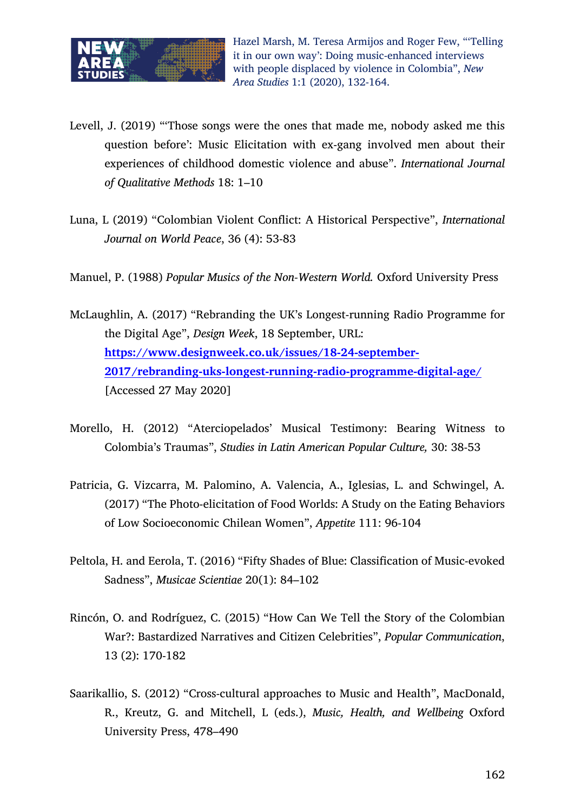

- Levell, J. (2019) "'Those songs were the ones that made me, nobody asked me this question before': Music Elicitation with ex-gang involved men about their experiences of childhood domestic violence and abuse". *International Journal of Qualitative Methods* 18: 1–10
- Luna, L (2019) "Colombian Violent Conflict: A Historical Perspective", *International Journal on World Peace*, 36 (4): 53-83
- Manuel, P. (1988) *Popular Musics of the Non-Western World.* Oxford University Press
- McLaughlin, A. (2017) "Rebranding the UK's Longest-running Radio Programme for the Digital Age", *Design Week*, 18 September, URL: **https://www.designweek.co.uk/issues/18-24-september-2017/rebranding-uks-longest-running-radio-programme-digital-age/** [Accessed 27 May 2020]
- Morello, H. (2012) "Aterciopelados' Musical Testimony: Bearing Witness to Colombia's Traumas", *Studies in Latin American Popular Culture,* 30: 38-53
- Patricia, G. Vizcarra, M. Palomino, A. Valencia, A., Iglesias, L. and Schwingel, A. (2017) "The Photo-elicitation of Food Worlds: A Study on the Eating Behaviors of Low Socioeconomic Chilean Women", *Appetite* 111: 96-104
- Peltola, H. and Eerola, T. (2016) "Fifty Shades of Blue: Classification of Music-evoked Sadness", *Musicae Scientiae* 20(1): 84–102
- Rincón, O. and Rodríguez, C. (2015) "How Can We Tell the Story of the Colombian War?: Bastardized Narratives and Citizen Celebrities", *Popular Communication*, 13 (2): 170-182
- Saarikallio, S. (2012) "Cross-cultural approaches to Music and Health", MacDonald, R., Kreutz, G. and Mitchell, L (eds.), *Music, Health, and Wellbeing* Oxford University Press, 478–490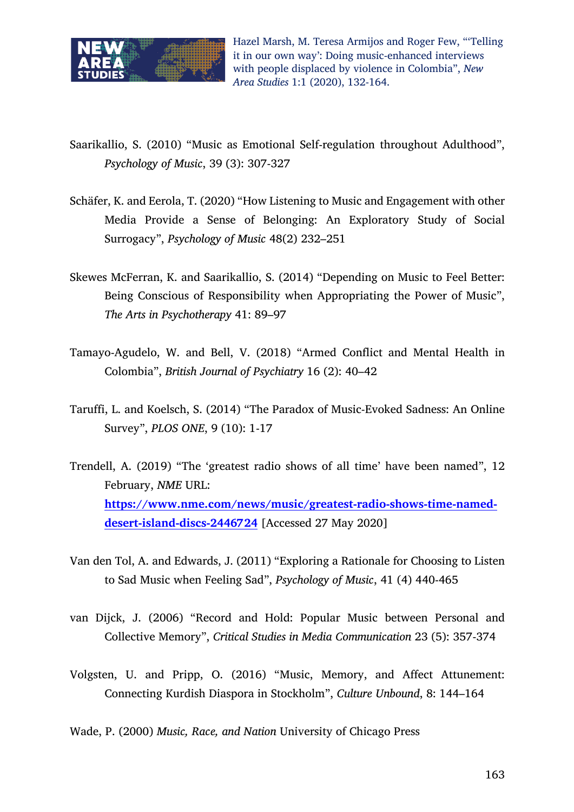

Saarikallio, S. (2010) "Music as Emotional Self-regulation throughout Adulthood", *Psychology of Music*, 39 (3): 307-327

- Schäfer, K. and Eerola, T. (2020) "How Listening to Music and Engagement with other Media Provide a Sense of Belonging: An Exploratory Study of Social Surrogacy", *Psychology of Music* 48(2) 232–251
- Skewes McFerran, K. and Saarikallio, S. (2014) "Depending on Music to Feel Better: Being Conscious of Responsibility when Appropriating the Power of Music", *The Arts in Psychotherapy* 41: 89–97
- Tamayo-Agudelo, W. and Bell, V. (2018) "Armed Conflict and Mental Health in Colombia", *British Journal of Psychiatry* 16 (2): 40–42
- Taruffi, L. and Koelsch, S. (2014) "The Paradox of Music-Evoked Sadness: An Online Survey", *PLOS ONE*, 9 (10): 1-17
- Trendell, A. (2019) "The 'greatest radio shows of all time' have been named", 12 February, *NME* URL: **https://www.nme.com/news/music/greatest-radio-shows-time-nameddesert-island-discs-2446724** [Accessed 27 May 2020]
- Van den Tol, A. and Edwards, J. (2011) "Exploring a Rationale for Choosing to Listen to Sad Music when Feeling Sad", *Psychology of Music*, 41 (4) 440-465
- van Dijck, J. (2006) "Record and Hold: Popular Music between Personal and Collective Memory", *Critical Studies in Media Communication* 23 (5): 357-374
- Volgsten, U. and Pripp, O. (2016) "Music, Memory, and Affect Attunement: Connecting Kurdish Diaspora in Stockholm", *Culture Unbound*, 8: 144–164

Wade, P. (2000) *Music, Race, and Nation* University of Chicago Press